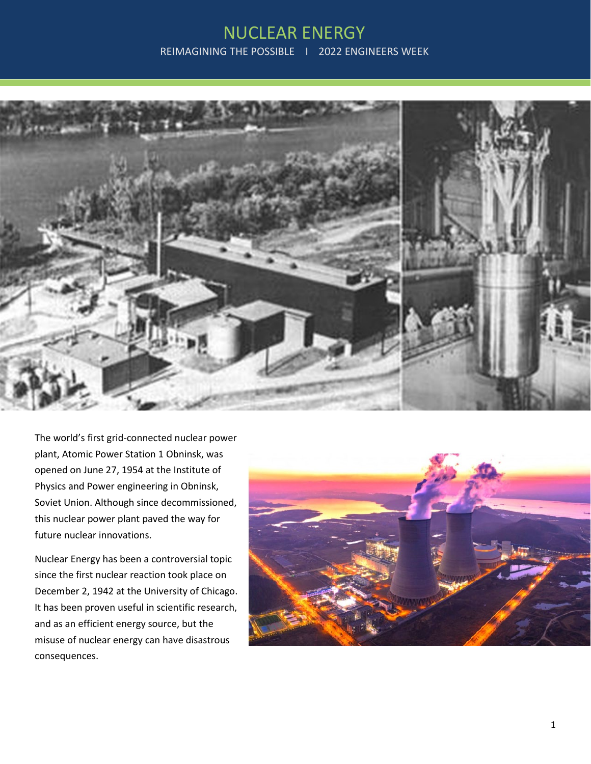## NUCLEAR ENERGY REIMAGINING THE POSSIBLE | 2022 ENGINEERS WEEK



The world's first grid-connected nuclear power plant, Atomic Power Station 1 Obninsk, was opened on June 27, 1954 at the Institute of Physics and Power engineering in Obninsk, Soviet Union. Although since decommissioned, this nuclear power plant paved the way for future nuclear innovations.

Nuclear Energy has been a controversial topic since the first nuclear reaction took place on December 2, 1942 at the University of Chicago. It has been proven useful in scientific research, and as an efficient energy source, but the misuse of nuclear energy can have disastrous consequences.

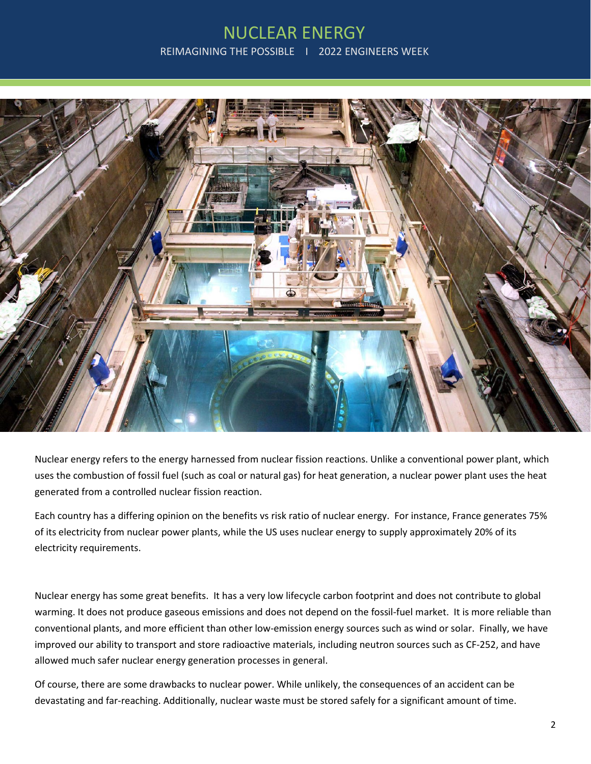## NUCLEAR ENERGY REIMAGINING THE POSSIBLE | 2022 ENGINEERS WEEK



Nuclear energy refers to the energy harnessed from nuclear fission reactions. Unlike a conventional power plant, which uses the combustion of fossil fuel (such as coal or natural gas) for heat generation, a nuclear power plant uses the heat generated from a controlled nuclear fission reaction.

Each country has a differing opinion on the benefits vs risk ratio of nuclear energy. For instance, France generates 75% of its electricity from nuclear power plants, while the US uses nuclear energy to supply approximately 20% of its electricity requirements.

Nuclear energy has some great benefits. It has a very low lifecycle carbon footprint and does not contribute to global warming. It does not produce gaseous emissions and does not depend on the fossil-fuel market. It is more reliable than conventional plants, and more efficient than other low-emission energy sources such as wind or solar. Finally, we have improved our ability to transport and store radioactive materials, including neutron sources such as CF-252, and have allowed much safer nuclear energy generation processes in general.

Of course, there are some drawbacks to nuclear power. While unlikely, the consequences of an accident can be devastating and far-reaching. Additionally, nuclear waste must be stored safely for a significant amount of time.